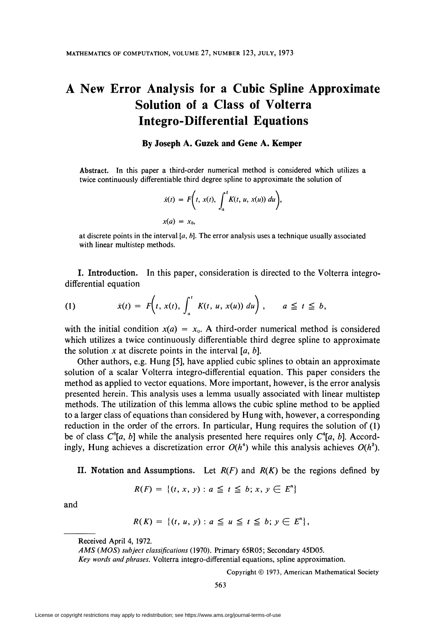# A New Error Analysis for a Cubic Spline Approximate Solution of a Class of Volterra Integro-Differential Equations

### By Joseph A. Guzek and Gene A. Kemper

Abstract. In this paper a third-order numerical method is considered which utilizes a twice continuously differentiable third degree spline to approximate the solution of

$$
\dot{x}(t) = F\bigg(t, x(t), \int_a^t K(t, u, x(u)) du\bigg),
$$
  
 
$$
x(a) = x_0,
$$

at discrete points in the interval  $[a, b]$ . The error analysis uses a technique usually associated with linear multistep methods.

I. Introduction. In this paper, consideration is directed to the Volterra integrodifferential equation

(1) 
$$
\dot{x}(t) = F\left(t, x(t), \int_a^t K(t, u, x(u)) du\right), \quad a \leq t \leq b,
$$

with the initial condition  $x(a) = x_0$ . A third-order numerical method is considered which utilizes a twice continuously differentiable third degree spline to approximate the solution x at discrete points in the interval  $[a, b]$ .

Other authors, e.g. Hung [5], have applied cubic splines to obtain an approximate solution of a scalar Volterra integro-differential equation. This paper considers the method as applied to vector equations. More important, however, is the error analysis presented herein. This analysis uses a lemma usually associated with linear multistep methods. The utilization of this lemma allows the cubic spline method to be applied to a larger class of equations than considered by Hung with, however, a corresponding reduction in the order of the errors. In particular, Hung requires the solution of (1) be of class  $C^{\delta}[a, b]$  while the analysis presented here requires only  $C^{\delta}[a, b]$ . Accordingly, Hung achieves a discretization error  $O(h^4)$  while this analysis achieves  $O(h^3)$ .

## II. Notation and Assumptions. Let  $R(F)$  and  $R(K)$  be the regions defined by

$$
R(F) = \{(t, x, y) : a \leq t \leq b; x, y \in E^n\}
$$

and

$$
R(K) = \{ (t, u, y) : a \le u \le t \le b; y \in E^n \},\
$$

Received April 4, 1972.

Copyright © 1973, American Mathematical Society

563

AMS (MOS) subject classifications (1970). Primary 65R05; Secondary 45D05.

Key words and phrases. Volterra integro-differential equations, spline approximation.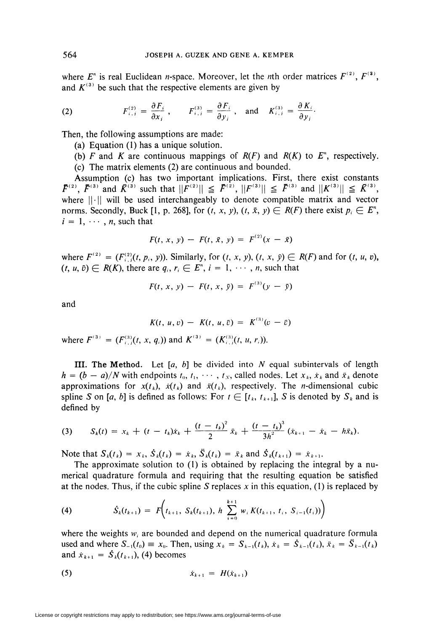where  $E^{n}$  is real Euclidean *n*-space. Moreover, let the *n*th order matrices  $F^{(2)}$ ,  $F^{(3)}$ , and  $K^{(3)}$  be such that the respective elements are given by

(2) 
$$
F_{i,j}^{(2)} = \frac{\partial F_i}{\partial x_j}, \qquad F_{i,j}^{(3)} = \frac{\partial F_j}{\partial y_j}, \text{ and } K_{i,j}^{(3)} = \frac{\partial K_j}{\partial y_j}.
$$

Then, the following assumptions are made:

- (a) Equation (1) has a unique solution.
- (b) F and K are continuous mappings of  $R(F)$  and  $R(K)$  to  $E^{\prime\prime}$ , respectively.
- (c) The matrix elements (2) are continuous and bounded.

Assumption (c) has two important implications. First, there exist constants  $\overline{F}^{(2)}, \overline{F}^{(3)}$  and  $\overline{K}^{(3)}$  such that  $||\overline{F}^{(2)}|| \leq \overline{F}^{(2)}, ||F^{(3)}|| \leq \overline{F}^{(3)}$  and  $||K^{(3)}|| \leq \overline{K}^{(3)},$ where  $||\cdot||$  will be used interchangeably to denote compatible matrix and vector norms. Secondly, Buck [1, p. 268], for  $(t, x, y)$ ,  $(t, \overline{x}, y) \in R(F)$  there exist  $p_i \in E^n$ ,  $i = 1, \dots, n$ , such that

$$
F(t, x, y) - F(t, \bar{x}, y) = F^{(2)}(x - \bar{x})
$$

where  $F^{(2)} = (F_{i,j}^{(2)}(t, p_i, y))$ . Similarly, for  $(t, x, y)$ ,  $(t, x, \overline{y}) \in R(F)$  and for  $(t, u, v)$ ,  $(i, u, \bar{v}) \in R(K)$ , there are  $q_i, r_i \in E^n$ ,  $i = 1, \dots, n$ , such that

$$
F(t, x, y) - F(t, x, \bar{y}) = F^{(3)}(y - \bar{y})
$$

and

$$
K(t, u, v) - K(t, u, \bar{v}) = K^{(3)}(v - \bar{v})
$$

where  $F^{(3)} = (F_{i,j}^{(3)}(t, x, q_i))$  and  $K^{(3)} = (K_{i,j}^{(3)}(t, u, r_i)).$ 

**III.** The Method. Let  $[a, b]$  be divided into N equal subintervals of length  $h = (b - a)/N$  with endpoints  $t_0, t_1, \cdots, t_N$ , called nodes. Let  $x_k, x_k$  and  $\ddot{x}_k$  denote approximations for  $x(t_k)$ ,  $\dot{x}(t_k)$  and  $\ddot{x}(t_k)$ , respectively. The *n*-dimensional cubic spline S on [a, b] is defined as follows: For  $t \in [t_k, t_{k+1}]$ , S is denoted by  $S_k$  and is defined by

(3) 
$$
S_k(t) = x_k + (t - t_k)\dot{x}_k + \frac{(t - t_k)^2}{2}\dot{x}_k + \frac{(t - t_k)^3}{3h^2}(\dot{x}_{k+1} - \dot{x}_k - h\ddot{x}_k).
$$

Note that  $S_k(t_k) = x_k$ ,  $\dot{S}_k(t_k) = \dot{x}_k$ ,  $\ddot{S}_k(t_k) = \ddot{x}_k$  and  $\dot{S}_k(t_{k+1}) = \dot{x}_{k+1}$ .

The approximate solution to (1) is obtained by replacing the integral by a numerical quadrature formula and requiring that the resulting equation be satisfied at the nodes. Thus, if the cubic spline S replaces x in this equation, (1) is replaced by

(4) 
$$
\dot{S}_k(t_{k+1}) = F\left(t_{k+1}, S_k(t_{k+1}), h \sum_{i=0}^{k+1} w_i K(t_{k+1}, t_i, S_{i-1}(t_i))\right)
$$

where the weights  $w_i$  are bounded and depend on the numerical quadrature formula used and where  $S_{-1}(t_0) \equiv x_0$ . Then, using  $x_k = S_{k-1}(t_k)$ ,  $\dot{x}_k = \dot{S}_{k-1}(t_k)$ ,  $\ddot{x}_k = \ddot{S}_{k-1}(t_k)$ and  $\dot{x}_{k+1} = \dot{S}_k(t_{k+1}),$  (4) becomes

(5) 
$$
\dot{x}_{k+1} = H(\dot{x}_{k+1})
$$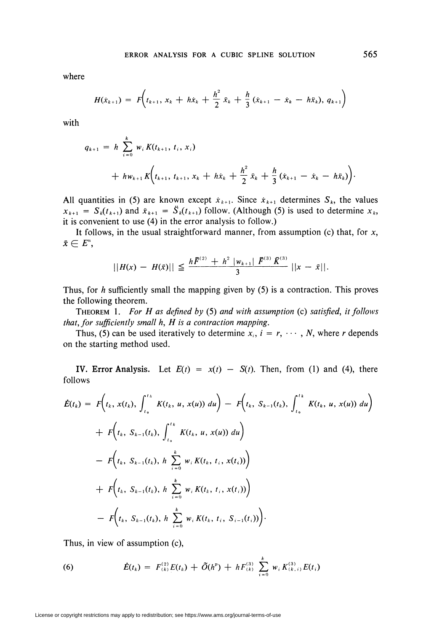where

$$
H(\dot{x}_{k+1}) = F\left(t_{k+1}, x_k + h\dot{x}_k + \frac{h^2}{2}\ddot{x}_k + \frac{h}{3}(\dot{x}_{k+1} - \dot{x}_k - h\ddot{x}_k), q_{k+1}\right)
$$

with

$$
q_{k+1} = h \sum_{i=0}^{k} w_i K(t_{k+1}, t_i, x_i)
$$
  
+  $hw_{k+1} K(t_{k+1}, t_{k+1}, x_k + h\dot{x}_k + \frac{h^2}{2} \dot{x}_k + \frac{h}{3} (\dot{x}_{k+1} - \dot{x}_k - h\ddot{x}_k)).$ 

All quantities in (5) are known except  $x_{k+1}$ . Since  $x_{k+1}$  determines  $S_k$ , the values  $x_{k+1} = S_k(t_{k+1})$  and  $\ddot{x}_{k+1} = \ddot{S}_k(t_{k+1})$  follow. (Although (5) is used to determine  $x_k$ , it is convenient to use (4) in the error analysis to follow.)

It follows, in the usual straightforward manner, from assumption (c) that, for  $x$ ,  $\bar{x} \in E^n$ ,

$$
||H(x) - H(\bar{x})|| \leq \frac{h\bar{F}^{(2)} + h^2 |w_{k+1}| \bar{F}^{(3)} \bar{K}^{(3)}}{3} ||x - \bar{x}||.
$$

Thus, for  $h$  sufficiently small the mapping given by (5) is a contraction. This proves the following theorem.

THEOREM 1. For H as defined by (5) and with assumption (c) satisfied, it follows that, for sufficiently small h, H is a contraction mapping.

Thus, (5) can be used iteratively to determine  $x_i$ ,  $i = r, \dots, N$ , where r depends on the starting method used.

IV. Error Analysis. Let  $E(t) = x(t) - S(t)$ . Then, from (1) and (4), there follows

$$
\begin{split}\n\dot{E}(t_k) &= F\bigg(t_k, \, x(t_k), \int_{t_0}^{t_k} K(t_k, \, u, \, x(u)) \, du\bigg) - F\bigg(t_k, \, S_{k-1}(t_k), \int_{t_0}^{t_k} K(t_k, \, u, \, x(u)) \, du\bigg) \\
&+ F\bigg(t_k, \, S_{k-1}(t_k), \int_{t_0}^{t_k} K(t_k, \, u, \, x(u)) \, du\bigg) \\
&- F\bigg(t_k, \, S_{k-1}(t_k), \, h \, \sum_{i=0}^k w_i K(t_k, \, t_i, \, x(t_i))\bigg) \\
&+ F\bigg(t_k, \, S_{k-1}(t_k), \, h \, \sum_{i=0}^k w_i K(t_k, \, t_i, \, x(t_i))\bigg) \\
&- F\bigg(t_k, \, S_{k-1}(t_k), \, h \, \sum_{i=0}^k w_i K(t_k, \, t_i, \, S_{i-1}(t_i))\bigg).\n\end{split}
$$

Thus, in view of assumption (c),

(6) 
$$
\dot{E}(t_k) = F_{(k)}^{(2)} E(t_k) + \tilde{O}(h^p) + h F_{(k)}^{(3)} \sum_{i=0}^k w_i K_{(k,i)}^{(3)} E(t_i)
$$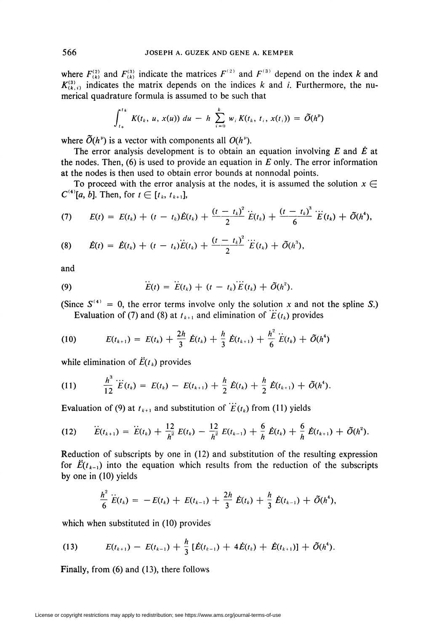where  $F_{(k)}^{(2)}$  and  $F_{(k)}^{(3)}$  indicate the matrices  $F^{(2)}$  and  $F^{(3)}$  depend on the index k and  $K_{(k,i)}^{(3)}$  indicates the matrix depends on the indices k and i. Furthermore, the numerical quadrature formula is assumed to be such that

$$
\int_{t_0}^{t_k} K(t_k, u, x(u)) du - h \sum_{i=0}^k w_i K(t_k, t_i, x(t_i)) = \tilde{O}(h^p)
$$

where  $\tilde{O}(h^{\nu})$  is a vector with components all  $O(h^{\nu})$ .

The error analysis development is to obtain an equation involving  $E$  and  $\dot{E}$  at the nodes. Then,  $(6)$  is used to provide an equation in E only. The error information at the nodes is then used to obtain error bounds at nonnodal points.

To proceed with the error analysis at the nodes, it is assumed the solution  $x \in$  $C^{(4)}[a, b]$ . Then, for  $t \in [t_k, t_{k+1}]$ ,

(7) 
$$
E(t) = E(t_k) + (t - t_k)\dot{E}(t_k) + \frac{(t - t_k)^2}{2}\ddot{E}(t_k) + \frac{(t - t_k)^3}{6}\dddot{E}(t_k) + \tilde{O}(h^4),
$$

(8) 
$$
\dot{E}(t) = \dot{E}(t_k) + (t - t_k)\ddot{E}(t_k) + \frac{(t - t_k)^2}{2}\dddot{E}(t_k) + \tilde{O}(h^3).
$$

and

(9) 
$$
\ddot{E}(t) = \ddot{E}(t_k) + (t - t_k) \ddot{E}(t_k) + \tilde{O}(h^2).
$$

(Since  $S^{(4)} = 0$ , the error terms involve only the solution x and not the spline S.) Evaluation of (7) and (8) at  $t_{k+1}$  and elimination of  $E(t_k)$  provides

(10) 
$$
E(t_{k+1}) = E(t_k) + \frac{2h}{3} \dot{E}(t_k) + \frac{h}{3} \dot{E}(t_{k+1}) + \frac{h^2}{6} \ddot{E}(t_k) + \tilde{O}(h^4)
$$

while elimination of  $\ddot{E}(t_k)$  provides

(11) 
$$
\frac{h^3}{12}\dddot{E}(t_k) = E(t_k) - E(t_{k+1}) + \frac{h}{2}\dot{E}(t_k) + \frac{h}{2}\dot{E}(t_{k+1}) + \tilde{O}(h^4).
$$

Evaluation of (9) at  $t_{k+1}$  and substitution of  $\dddot{E}(t_k)$  from (11) yields

(12) 
$$
\ddot{E}(t_{k+1}) = \ddot{E}(t_k) + \frac{12}{h^2} E(t_k) - \frac{12}{h^2} E(t_{k-1}) + \frac{6}{h} \dot{E}(t_k) + \frac{6}{h} \dot{E}(t_{k+1}) + \tilde{O}(h^2).
$$

Reduction of subscripts by one in (12) and substitution of the resulting expression for  $\ddot{E}(t_{k-1})$  into the equation which results from the reduction of the subscripts by one in (10) yields

$$
\frac{h^2}{6}\dddot{E}(t_k) = -E(t_k) + E(t_{k-1}) + \frac{2h}{3}\dot{E}(t_k) + \frac{h}{3}\dot{E}(t_{k-1}) + \tilde{O}(h^4),
$$

which when substituted in (10) provides

(13) 
$$
E(t_{k+1}) - E(t_{k-1}) + \frac{h}{3} \left[ \dot{E}(t_{k-1}) + 4 \dot{E}(t_k) + \dot{E}(t_{k+1}) \right] + \tilde{O}(h^4).
$$

Finally, from (6) and (13), there follows

566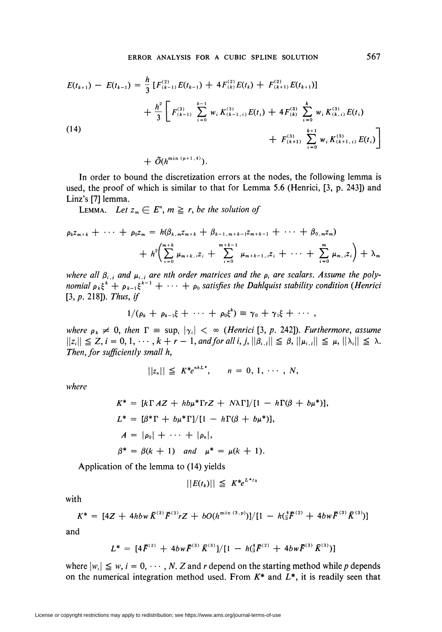$$
E(t_{k+1}) - E(t_{k-1}) = \frac{h}{3} \left[ F_{(k-1)}^{(2)} E(t_{k-1}) + 4 F_{(k)}^{(2)} E(t_k) + F_{(k+1)}^{(2)} E(t_{k+1}) \right]
$$
  
+ 
$$
\frac{h^2}{3} \left[ F_{(k-1)}^{(3)} \sum_{i=0}^{k-1} w_i K_{(k-1,i)}^{(3)} E(t_i) + 4 F_{(k)}^{(3)} \sum_{i=0}^{k} w_i K_{(k,i)}^{(3)} E(t_i) + F_{(k+1)}^{(3)} \sum_{i=0}^{k+1} w_i K_{(k+1,i)}^{(3)} E(t_i) \right]
$$
  

$$
\approx \min(n+1)
$$

 $+ \tilde{O}(h^{\min{(p+1,4)}}).$ 

In order to bound the discretization errors at the nodes, the following lemma is used, the proof of which is similar to that for Lemma 5.6 (Henrici, [3, p. 243]) and Linz's [7] lemma.

LEMMA. Let  $z_m \in E^n$ ,  $m \ge r$ , be the solution of

$$
\rho_k z_{m+k} + \cdots + \rho_0 z_m = h(\beta_{k,m} z_{m+k} + \beta_{k-1,m+k-1} z_{m+k-1} + \cdots + \beta_{0,m} z_m)
$$
  
+ 
$$
h^2 \bigg( \sum_{i=0}^{m+k} \mu_{m+k,i} z_i + \sum_{i=0}^{m+k-1} \mu_{m+k-1,i} z_i + \cdots + \sum_{i=0}^{m} \mu_{m,i} z_i \bigg) + \lambda_m
$$

where all  $\beta_{i,j}$  and  $\mu_{i,j}$  are nth order matrices and the  $\rho_i$  are scalars. Assume the poly-<br>nomial  $\rho_k \xi^k + \rho_{k-1} \xi^{k-1} + \cdots + \rho_0$  satisfies the Dahlquist stability condition (Henrici [3,  $p. 218$ ]). Thus, if

$$
1/(\rho_k + \rho_{k-1}\xi + \cdots + \rho_0\xi^k) \equiv \gamma_0 + \gamma_1\xi + \cdots,
$$

where  $\rho_k \neq 0$ , then  $\Gamma \equiv \sup_i |\gamma_i| < \infty$  (Henrici [3, p. 242]). Furthermore, assume  $||z_i|| \leq Z, i = 0, 1, \dots, k + r - 1,$  and for all  $i, j, ||\beta_{i,j}|| \leq \beta, ||\mu_{i,j}|| \leq \mu, ||\lambda_i|| \leq \lambda.$ Then, for sufficiently small h,

$$
||z_n|| \leq K^* e^{nhL^*}, \qquad n = 0, 1, \cdots, N,
$$

where

$$
K^* = [k\Gamma AZ + hb\mu^*\Gamma rZ + N\lambda\Gamma]/[1 - h\Gamma(\beta + b\mu^*)],
$$
  
\n
$$
L^* = [\beta^*\Gamma + b\mu^*\Gamma]/[1 - h\Gamma(\beta + b\mu^*)],
$$
  
\n
$$
A = |\rho_0| + \cdots + |\rho_n|,
$$
  
\n
$$
\beta^* = \beta(k + 1) \quad and \quad \mu^* = \mu(k + 1).
$$

Application of the lemma to (14) yields

$$
||E(t_k)|| \leq K^* e^{L^* t_k}
$$

with

$$
K^* = [4Z + 4h b w \bar{K}^{(3)} \bar{F}^{(3)} r Z + b O(h^{\min{(3,p)}})]/[1 - h(\frac{4}{3}\bar{F}^{(2)} + 4b w \bar{F}^{(3)} \bar{K}^{(3)})]
$$

and

$$
L^* = [4\bar{F}^{(2)} + 4bw\bar{F}^{(3)}\bar{K}^{(3)}]/[1-h(^{4}_{3}\bar{F}^{(2)} + 4bw\bar{F}^{(3)}\bar{K}^{(3)})]
$$

where  $|w_i| \leq w$ ,  $i = 0, \dots, N$ . Z and r depend on the starting method while p depends on the numerical integration method used. From  $K^*$  and  $L^*$ , it is readily seen that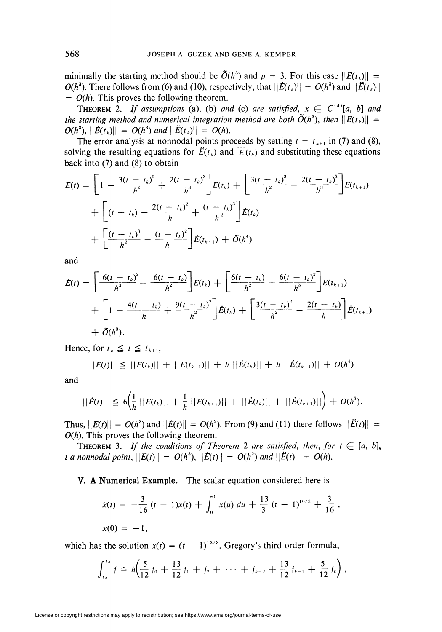minimally the starting method should be  $\tilde{O}(h^3)$  and  $p = 3$ . For this case  $||E(t_k)||$  =  $O(h^3)$ . There follows from (6) and (10), respectively, that  $||\dot{E}(t_k)|| = O(h^3)$  and  $||\ddot{E}(t_k)||$  $= O(h)$ . This proves the following theorem.

**THEOREM** 2. If assumptions (a), (b) and (c) are satisfied,  $x \in C^{(4)}[a, b]$  and the starting method and numerical integration method are both  $\tilde{O}(h^3)$ , then  $||E(t_k)|| =$  $O(h^3)$ ,  $||\dot{E}(t_k)|| = O(h^3)$  and  $||\ddot{E}(t_k)|| = O(h)$ .

The error analysis at nonnodal points proceeds by setting  $t = t_{k+1}$  in (7) and (8), solving the resulting equations for  $\ddot{E}(t_k)$  and  $\dddot{E}(t_k)$  and substituting these equations back into  $(7)$  and  $(8)$  to obtain

$$
E(t) = \left[1 - \frac{3(t - t_k)^2}{h^2} + \frac{2(t - t_k)^3}{h^3}\right]E(t_k) + \left[\frac{3(t - t_k)^2}{h^2} - \frac{2(t - t_k)^3}{h^3}\right]E(t_{k+1})
$$
  
+ 
$$
\left[(t - t_k) - \frac{2(t - t_k)^2}{h} + \frac{(t - t_k)^3}{h^2}\right]E(t_k)
$$
  
+ 
$$
\left[\frac{(t - t_k)^3}{h^2} - \frac{(t - t_k)^2}{h}\right]E(t_{k+1}) + \tilde{O}(h^4)
$$

and

$$
\dot{E}(t) = \left[\frac{6(t - t_k)^2}{h^3} - \frac{6(t - t_k)}{h^2}\right]E(t_k) + \left[\frac{6(t - t_k)}{h^2} - \frac{6(t - t_k)^2}{h^3}\right]E(t_{k+1}) + \left[1 - \frac{4(t - t_k)}{h} + \frac{9(t - t_k)^2}{h^2}\right] \dot{E}(t_k) + \left[\frac{3(t - t_k)^2}{h^2} - \frac{2(t - t_k)}{h}\right] \dot{E}(t_{k+1}) + \tilde{O}(h^3).
$$

Hence, for  $t_k \leq t \leq t_{k+1}$ ,

$$
||E(t)|| \leq ||E(t_k)|| + ||E(t_{k+1})|| + h ||\dot{E}(t_k)|| + h ||\dot{E}(t_{k+1})|| + O(h^4)
$$

and

$$
||\dot{E}(t)|| \leq 6 \left( \frac{1}{h} ||E(t_k)|| + \frac{1}{h} ||E(t_{k+1})|| + ||\dot{E}(t_k)|| + ||\dot{E}(t_{k+1})|| \right) + O(h^3).
$$

Thus,  $||E(t)|| = O(h^3)$  and  $||\dot{E}(t)|| = O(h^2)$ . From (9) and (11) there follows  $||\ddot{E}(t)|| =$  $O(h)$ . This proves the following theorem.

**THEOREM** 3. If the conditions of Theorem 2 are satisfied, then, for  $t \in [a, b]$ , t a nonnodal point,  $||E(t)|| = O(h^3)$ ,  $||\dot{E}(t)|| = O(h^2)$  and  $||\ddot{E}(t)|| = O(h)$ .

## V. A Numerical Example. The scalar equation considered here is

$$
\dot{x}(t) = -\frac{3}{16}(t-1)x(t) + \int_0^t x(u) \, du + \frac{13}{3}(t-1)^{10/3} + \frac{3}{16},
$$
\n
$$
x(0) = -1,
$$

which has the solution  $x(t) = (t - 1)^{13/3}$ . Gregory's third-order formula,

$$
\int_{t_0}^{t_k} f \doteq h \bigg( \frac{5}{12} f_0 + \frac{13}{12} f_1 + f_2 + \cdots + f_{k-2} + \frac{13}{12} f_{k-1} + \frac{5}{12} f_k \bigg) ,
$$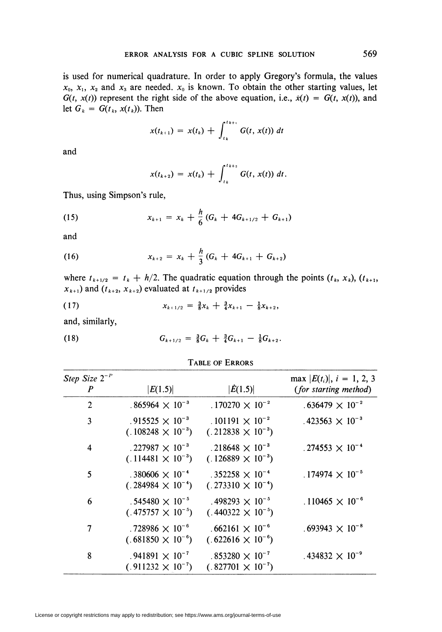is used for numerical quadrature. In order to apply Gregory's formula, the values  $x_0$ ,  $x_1$ ,  $x_2$  and  $x_3$  are needed.  $x_0$  is known. To obtain the other starting values, let  $G(t, x(t))$  represent the right side of the above equation, i.e.,  $\dot{x}(t) = G(t, x(t))$ , and let  $G_k = G(t_k, x(t_k))$ . Then

$$
x(t_{k+1}) = x(t_k) + \int_{t_k}^{t_{k+1}} G(t, x(t)) dt
$$

and

$$
x(t_{k+2}) = x(t_k) + \int_{t_k}^{t_{k+2}} G(t, x(t)) dt.
$$

Thus, using Simpson's rule,

(15) 
$$
x_{k+1} = x_k + \frac{h}{6} (G_k + 4G_{k+1/2} + G_{k+1})
$$

and

(16) 
$$
x_{k+2} = x_k + \frac{h}{3} (G_k + 4G_{k+1} + G_{k+2})
$$

where  $t_{k+1/2} = t_k + h/2$ . The quadratic equation through the points  $(t_k, x_k)$ ,  $(t_{k+1},$  $x_{k+1}$ ) and  $(t_{k+2}, x_{k+2})$  evaluated at  $t_{k+1/2}$  provides

$$
(17) \t\t\t x_{k+1/2} = \tfrac{3}{8}x_k + \tfrac{3}{4}x_{k+1} - \tfrac{1}{8}x_{k+2}
$$

and, similarly,

(18) 
$$
G_{k+1/2} = \frac{3}{8}G_k + \frac{3}{4}G_{k+1} - \frac{1}{8}G_{k+2}.
$$

### Table of Errors

| Step Size $2^{-P}$<br>$\boldsymbol{P}$ | E(1.5)                                                          | $ \dot{E}(1.5) $                                                | max $ E(t_i) $ , $i = 1, 2, 3$<br><i>(for starting method)</i> |
|----------------------------------------|-----------------------------------------------------------------|-----------------------------------------------------------------|----------------------------------------------------------------|
| $\overline{2}$                         | .865964 $\times$ 10 <sup>-3</sup>                               | .170270 $\times$ 10 <sup>-2</sup>                               | $.636479 \times 10^{-2}$                                       |
| 3                                      | .915525 $\times$ 10 <sup>-3</sup><br>$(.108248 \times 10^{-3})$ | .101191 $\times$ 10 <sup>-2</sup><br>$(.212838 \times 10^{-3})$ | .423563 $\times$ 10 <sup>-3</sup>                              |
| 4                                      | .227987 $\times$ 10 <sup>-3</sup><br>$(.114481 \times 10^{-3})$ | .218648 $\times$ 10 <sup>-3</sup><br>$(.126889 \times 10^{-3})$ | .274553 $\times$ 10 <sup>-4</sup>                              |
| 5                                      | .380606 $\times$ 10 <sup>-4</sup><br>$(.284984 \times 10^{-4})$ | .352258 $\times$ 10 <sup>-4</sup><br>$(.273310 \times 10^{-4})$ | .174974 $\times$ 10 <sup>-5</sup>                              |
| 6                                      | .545480 $\times$ 10 <sup>-5</sup><br>$(.475757 \times 10^{-5})$ | .498293 $\times$ 10 <sup>-5</sup><br>$(.440322 \times 10^{-5})$ | .110465 $\times$ 10 <sup>-6</sup>                              |
| 7                                      | .728986 $\times$ 10 <sup>-6</sup><br>$(.681850 \times 10^{-6})$ | $.662161 \times 10^{-6}$<br>$(.622616 \times 10^{-6})$          | $.693943 \times 10^{-8}$                                       |
| 8                                      | .941891 $\times$ 10 <sup>-7</sup><br>$(.911232 \times 10^{-7})$ | $.853280 \times 10^{-7}$<br>$(.827701 \times 10^{-7})$          | .434832 $\times$ 10 <sup>-9</sup>                              |